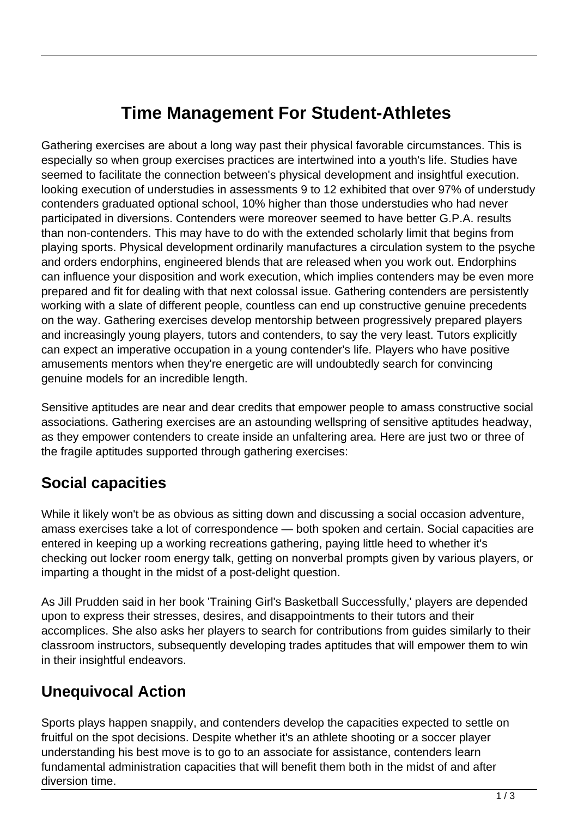# **Time Management For Student-Athletes**

Gathering exercises are about a long way past their physical favorable circumstances. This is especially so when group exercises practices are intertwined into a youth's life. Studies have seemed to facilitate the connection between's physical development and insightful execution. looking execution of understudies in assessments 9 to 12 exhibited that over 97% of understudy contenders graduated optional school, 10% higher than those understudies who had never participated in diversions. Contenders were moreover seemed to have better G.P.A. results than non-contenders. This may have to do with the extended scholarly limit that begins from playing sports. Physical development ordinarily manufactures a circulation system to the psyche and orders endorphins, engineered blends that are released when you work out. Endorphins can influence your disposition and work execution, which implies contenders may be even more prepared and fit for dealing with that next colossal issue. Gathering contenders are persistently working with a slate of different people, countless can end up constructive genuine precedents on the way. Gathering exercises develop mentorship between progressively prepared players and increasingly young players, tutors and contenders, to say the very least. Tutors explicitly can expect an imperative occupation in a young contender's life. Players who have positive amusements mentors when they're energetic are will undoubtedly search for convincing genuine models for an incredible length.

Sensitive aptitudes are near and dear credits that empower people to amass constructive social associations. Gathering exercises are an astounding wellspring of sensitive aptitudes headway, as they empower contenders to create inside an unfaltering area. Here are just two or three of the fragile aptitudes supported through gathering exercises:

#### **Social capacities**

While it likely won't be as obvious as sitting down and discussing a social occasion adventure, amass exercises take a lot of correspondence — both spoken and certain. Social capacities are entered in keeping up a working recreations gathering, paying little heed to whether it's checking out locker room energy talk, getting on nonverbal prompts given by various players, or imparting a thought in the midst of a post-delight question.

As Jill Prudden said in her book 'Training Girl's Basketball Successfully,' players are depended upon to express their stresses, desires, and disappointments to their tutors and their accomplices. She also asks her players to search for contributions from guides similarly to their classroom instructors, subsequently developing trades aptitudes that will empower them to win in their insightful endeavors.

#### **Unequivocal Action**

Sports plays happen snappily, and contenders develop the capacities expected to settle on fruitful on the spot decisions. Despite whether it's an athlete shooting or a soccer player understanding his best move is to go to an associate for assistance, contenders learn fundamental administration capacities that will benefit them both in the midst of and after diversion time.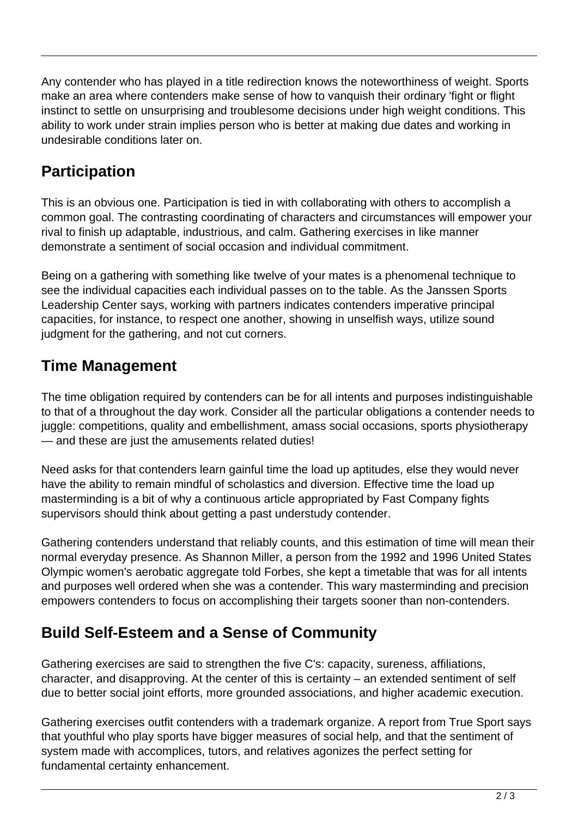Any contender who has played in a title redirection knows the noteworthiness of weight. Sports make an area where contenders make sense of how to vanquish their ordinary 'fight or flight instinct to settle on unsurprising and troublesome decisions under high weight conditions. This ability to work under strain implies person who is better at making due dates and working in undesirable conditions later on.

## **Participation**

This is an obvious one. Participation is tied in with collaborating with others to accomplish a common goal. The contrasting coordinating of characters and circumstances will empower your rival to finish up adaptable, industrious, and calm. Gathering exercises in like manner demonstrate a sentiment of social occasion and individual commitment.

Being on a gathering with something like twelve of your mates is a phenomenal technique to see the individual capacities each individual passes on to the table. As the Janssen Sports Leadership Center says, working with partners indicates contenders imperative principal capacities, for instance, to respect one another, showing in unselfish ways, utilize sound judgment for the gathering, and not cut corners.

### **Time Management**

The time obligation required by contenders can be for all intents and purposes indistinguishable to that of a throughout the day work. Consider all the particular obligations a contender needs to juggle: competitions, quality and embellishment, amass social occasions, sports physiotherapy — and these are just the amusements related duties!

Need asks for that contenders learn gainful time the load up aptitudes, else they would never have the ability to remain mindful of scholastics and diversion. Effective time the load up masterminding is a bit of why a continuous article appropriated by Fast Company fights supervisors should think about getting a past understudy contender.

Gathering contenders understand that reliably counts, and this estimation of time will mean their normal everyday presence. As Shannon Miller, a person from the 1992 and 1996 United States Olympic women's aerobatic aggregate told Forbes, she kept a timetable that was for all intents and purposes well ordered when she was a contender. This wary masterminding and precision empowers contenders to focus on accomplishing their targets sooner than non-contenders.

## **Build Self-Esteem and a Sense of Community**

Gathering exercises are said to strengthen the five C's: capacity, sureness, affiliations, character, and disapproving. At the center of this is certainty – an extended sentiment of self due to better social joint efforts, more grounded associations, and higher academic execution.

Gathering exercises outfit contenders with a trademark organize. A report from True Sport says that youthful who play sports have bigger measures of social help, and that the sentiment of system made with accomplices, tutors, and relatives agonizes the perfect setting for fundamental certainty enhancement.